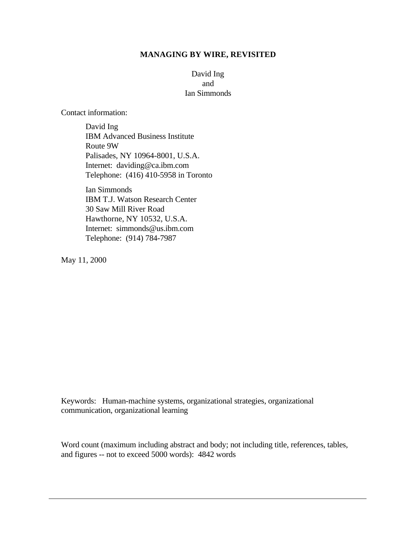#### **MANAGING BY WIRE, REVISITED**

## David Ing and Ian Simmonds

Contact information:

David Ing IBM Advanced Business Institute Route 9W Palisades, NY 10964-8001, U.S.A. Internet: daviding@ca.ibm.com Telephone: (416) 410-5958 in Toronto

Ian Simmonds IBM T.J. Watson Research Center 30 Saw Mill River Road Hawthorne, NY 10532, U.S.A. Internet: simmonds@us.ibm.com Telephone: (914) 784-7987

May 11, 2000

Keywords: Human-machine systems, organizational strategies, organizational communication, organizational learning

Word count (maximum including abstract and body; not including title, references, tables, and figures -- not to exceed 5000 words): 4842 words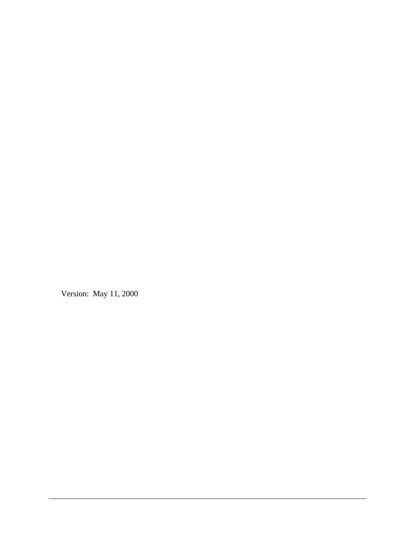Version: May 11, 2000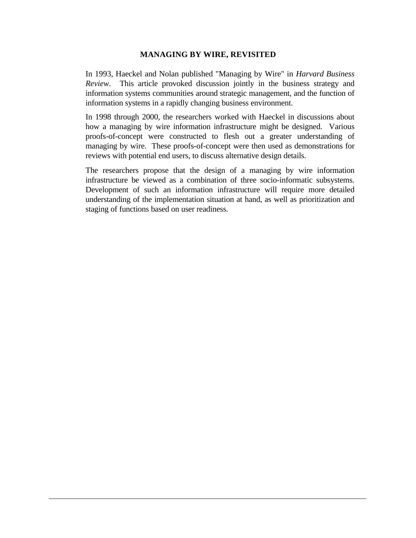#### **MANAGING BY WIRE, REVISITED**

In 1993, Haeckel and Nolan published "Managing by Wire" in *Harvard Business Review*. This article provoked discussion jointly in the business strategy and information systems communities around strategic management, and the function of information systems in a rapidly changing business environment.

In 1998 through 2000, the researchers worked with Haeckel in discussions about how a managing by wire information infrastructure might be designed. Various proofs-of-concept were constructed to flesh out a greater understanding of managing by wire. These proofs-of-concept were then used as demonstrations for reviews with potential end users, to discuss alternative design details.

The researchers propose that the design of a managing by wire information infrastructure be viewed as a combination of three socio-informatic subsystems. Development of such an information infrastructure will require more detailed understanding of the implementation situation at hand, as well as prioritization and staging of functions based on user readiness.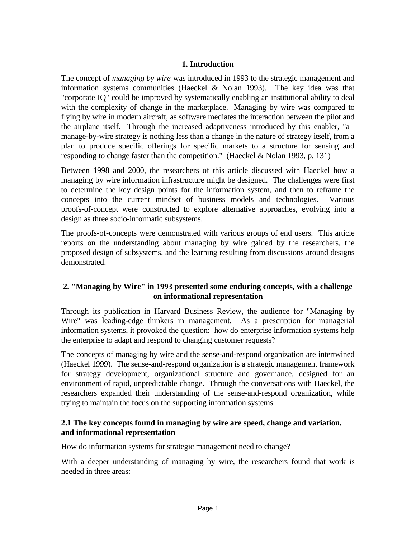# **1. Introduction**

The concept of *managing by wire* was introduced in 1993 to the strategic management and information systems communities (Haeckel  $\&$  Nolan 1993). The key idea was that "corporate IQ" could be improved by systematically enabling an institutional ability to deal with the complexity of change in the marketplace. Managing by wire was compared to flying by wire in modern aircraft, as software mediates the interaction between the pilot and the airplane itself. Through the increased adaptiveness introduced by this enabler, "a manage-by-wire strategy is nothing less than a change in the nature of strategy itself, from a plan to produce specific offerings for specific markets to a structure for sensing and responding to change faster than the competition." (Haeckel & Nolan 1993, p. 131)

Between 1998 and 2000, the researchers of this article discussed with Haeckel how a managing by wire information infrastructure might be designed. The challenges were first to determine the key design points for the information system, and then to reframe the concepts into the current mindset of business models and technologies. Various proofs-of-concept were constructed to explore alternative approaches, evolving into a design as three socio-informatic subsystems.

The proofs-of-concepts were demonstrated with various groups of end users. This article reports on the understanding about managing by wire gained by the researchers, the proposed design of subsystems, and the learning resulting from discussions around designs demonstrated.

# **2. "Managing by Wire" in 1993 presented some enduring concepts, with a challenge on informational representation**

Through its publication in Harvard Business Review, the audience for "Managing by Wire" was leading-edge thinkers in management. As a prescription for managerial information systems, it provoked the question: how do enterprise information systems help the enterprise to adapt and respond to changing customer requests?

The concepts of managing by wire and the sense-and-respond organization are intertwined (Haeckel 1999). The sense-and-respond organization is a strategic management framework for strategy development, organizational structure and governance, designed for an environment of rapid, unpredictable change. Through the conversations with Haeckel, the researchers expanded their understanding of the sense-and-respond organization, while trying to maintain the focus on the supporting information systems.

# **2.1 The key concepts found in managing by wire are speed, change and variation, and informational representation**

How do information systems for strategic management need to change?

With a deeper understanding of managing by wire, the researchers found that work is needed in three areas: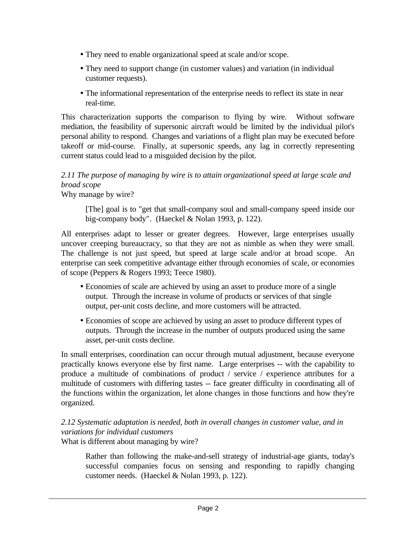- They need to enable organizational speed at scale and/or scope.
- They need to support change (in customer values) and variation (in individual customer requests).
- The informational representation of the enterprise needs to reflect its state in near real-time.

This characterization supports the comparison to flying by wire. Without software mediation, the feasibility of supersonic aircraft would be limited by the individual pilot's personal ability to respond. Changes and variations of a flight plan may be executed before takeoff or mid-course. Finally, at supersonic speeds, any lag in correctly representing current status could lead to a misguided decision by the pilot.

# *2.11 The purpose of managing by wire is to attain organizational speed at large scale and broad scope*

Why manage by wire?

[The] goal is to "get that small-company soul and small-company speed inside our big-company body". (Haeckel & Nolan 1993, p. 122).

All enterprises adapt to lesser or greater degrees. However, large enterprises usually uncover creeping bureaucracy, so that they are not as nimble as when they were small. The challenge is not just speed, but speed at large scale and/or at broad scope. An enterprise can seek competitive advantage either through economies of scale, or economies of scope (Peppers & Rogers 1993; Teece 1980).

- ü Economies of scale are achieved by using an asset to produce more of a single output. Through the increase in volume of products or services of that single output, per-unit costs decline, and more customers will be attracted.
- ü Economies of scope are achieved by using an asset to produce different types of outputs. Through the increase in the number of outputs produced using the same asset, per-unit costs decline.

In small enterprises, coordination can occur through mutual adjustment, because everyone practically knows everyone else by first name. Large enterprises -- with the capability to produce a multitude of combinations of product / service / experience attributes for a multitude of customers with differing tastes -- face greater difficulty in coordinating all of the functions within the organization, let alone changes in those functions and how they're organized.

# *2.12 Systematic adaptation is needed, both in overall changes in customer value, and in variations for individual customers*

What is different about managing by wire?

Rather than following the make-and-sell strategy of industrial-age giants, today's successful companies focus on sensing and responding to rapidly changing customer needs. (Haeckel & Nolan 1993, p. 122).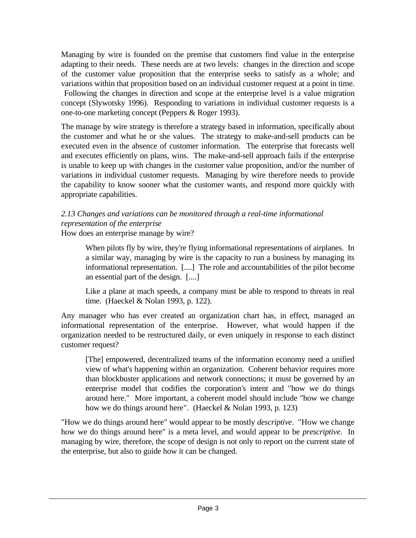Managing by wire is founded on the premise that customers find value in the enterprise adapting to their needs. These needs are at two levels: changes in the direction and scope of the customer value proposition that the enterprise seeks to satisfy as a whole; and variations within that proposition based on an individual customer request at a point in time. Following the changes in direction and scope at the enterprise level is a value migration concept (Slywotsky 1996). Responding to variations in individual customer requests is a one-to-one marketing concept (Peppers & Roger 1993).

The manage by wire strategy is therefore a strategy based in information, specifically about the customer and what he or she values. The strategy to make-and-sell products can be executed even in the absence of customer information. The enterprise that forecasts well and executes efficiently on plans, wins. The make-and-sell approach fails if the enterprise is unable to keep up with changes in the customer value proposition, and/or the number of variations in individual customer requests. Managing by wire therefore needs to provide the capability to know sooner what the customer wants, and respond more quickly with appropriate capabilities.

#### *2.13 Changes and variations can be monitored through a real-time informational representation of the enterprise* How does an enterprise manage by wire?

When pilots fly by wire, they're flying informational representations of airplanes. In a similar way, managing by wire is the capacity to run a business by managing its informational representation. [....] The role and accountabilities of the pilot become an essential part of the design. [....]

Like a plane at mach speeds, a company must be able to respond to threats in real time. (Haeckel & Nolan 1993, p. 122).

Any manager who has ever created an organization chart has, in effect, managed an informational representation of the enterprise. However, what would happen if the organization needed to be restructured daily, or even uniquely in response to each distinct customer request?

[The] empowered, decentralized teams of the information economy need a unified view of what's happening within an organization. Coherent behavior requires more than blockbuster applications and network connections; it must be governed by an enterprise model that codifies the corporation's intent and "how we do things around here." More important, a coherent model should include "how we change how we do things around here". (Haeckel & Nolan 1993, p. 123)

"How we do things around here" would appear to be mostly *descriptive*. "How we change how we do things around here" is a meta level, and would appear to be *prescriptive*. In managing by wire, therefore, the scope of design is not only to report on the current state of the enterprise, but also to guide how it can be changed.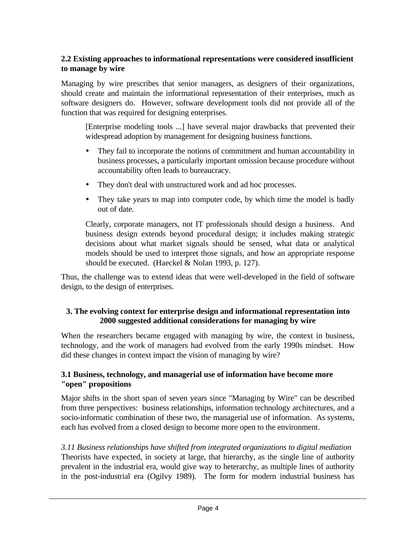## **2.2 Existing approaches to informational representations were considered insufficient to manage by wire**

Managing by wire prescribes that senior managers, as designers of their organizations, should create and maintain the informational representation of their enterprises, much as software designers do. However, software development tools did not provide all of the function that was required for designing enterprises.

[Enterprise modeling tools ...] have several major drawbacks that prevented their widespread adoption by management for designing business functions.

- ü They fail to incorporate the notions of commitment and human accountability in business processes, a particularly important omission because procedure without accountability often leads to bureaucracy.
- They don't deal with unstructured work and ad hoc processes.
- They take years to map into computer code, by which time the model is badly out of date.

Clearly, corporate managers, not IT professionals should design a business. And business design extends beyond procedural design; it includes making strategic decisions about what market signals should be sensed, what data or analytical models should be used to interpret those signals, and how an appropriate response should be executed. (Haeckel & Nolan 1993, p. 127).

Thus, the challenge was to extend ideas that were well-developed in the field of software design, to the design of enterprises.

## **3. The evolving context for enterprise design and informational representation into 2000 suggested additional considerations for managing by wire**

When the researchers became engaged with managing by wire, the context in business, technology, and the work of managers had evolved from the early 1990s mindset. How did these changes in context impact the vision of managing by wire?

## **3.1 Business, technology, and managerial use of information have become more "open" propositions**

Major shifts in the short span of seven years since "Managing by Wire" can be described from three perspectives: business relationships, information technology architectures, and a socio-informatic combination of these two, the managerial use of information. As systems, each has evolved from a closed design to become more open to the environment.

*3.11 Business relationships have shifted from integrated organizations to digital mediation* Theorists have expected, in society at large, that hierarchy, as the single line of authority prevalent in the industrial era, would give way to heterarchy, as multiple lines of authority in the post-industrial era (Ogilvy 1989). The form for modern industrial business has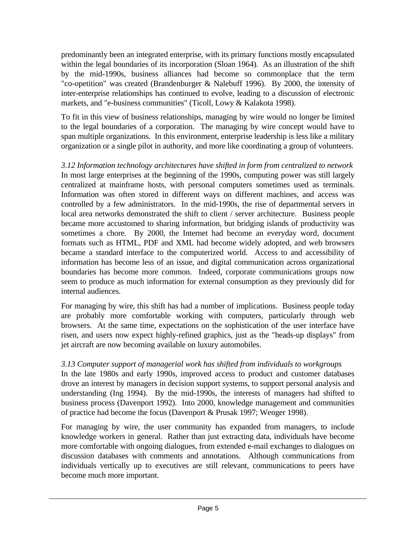predominantly been an integrated enterprise, with its primary functions mostly encapsulated within the legal boundaries of its incorporation (Sloan 1964). As an illustration of the shift by the mid-1990s, business alliances had become so commonplace that the term "co-opetition" was created (Brandenburger & Nalebuff 1996). By 2000, the intensity of inter-enterprise relationships has continued to evolve, leading to a discussion of electronic markets, and "e-business communities" (Ticoll, Lowy & Kalakota 1998).

To fit in this view of business relationships, managing by wire would no longer be limited to the legal boundaries of a corporation. The managing by wire concept would have to span multiple organizations. In this environment, enterprise leadership is less like a military organization or a single pilot in authority, and more like coordinating a group of volunteers.

*3.12 Information technology architectures have shifted in form from centralized to network* In most large enterprises at the beginning of the 1990s, computing power was still largely centralized at mainframe hosts, with personal computers sometimes used as terminals. Information was often stored in different ways on different machines, and access was controlled by a few administrators. In the mid-1990s, the rise of departmental servers in local area networks demonstrated the shift to client / server architecture. Business people became more accustomed to sharing information, but bridging islands of productivity was sometimes a chore. By 2000, the Internet had become an everyday word, document formats such as HTML, PDF and XML had become widely adopted, and web browsers became a standard interface to the computerized world. Access to and accessibility of information has become less of an issue, and digital communication across organizational boundaries has become more common. Indeed, corporate communications groups now seem to produce as much information for external consumption as they previously did for internal audiences.

For managing by wire, this shift has had a number of implications. Business people today are probably more comfortable working with computers, particularly through web browsers. At the same time, expectations on the sophistication of the user interface have risen, and users now expect highly-refined graphics, just as the "heads-up displays" from jet aircraft are now becoming available on luxury automobiles.

# *3.13 Computer support of managerial work has shifted from individuals to workgroups*

In the late 1980s and early 1990s, improved access to product and customer databases drove an interest by managers in decision support systems, to support personal analysis and understanding (Ing 1994). By the mid-1990s, the interests of managers had shifted to business process (Davenport 1992). Into 2000, knowledge management and communities of practice had become the focus (Davenport & Prusak 1997; Wenger 1998).

For managing by wire, the user community has expanded from managers, to include knowledge workers in general. Rather than just extracting data, individuals have become more comfortable with ongoing dialogues, from extended e-mail exchanges to dialogues on discussion databases with comments and annotations. Although communications from individuals vertically up to executives are still relevant, communications to peers have become much more important.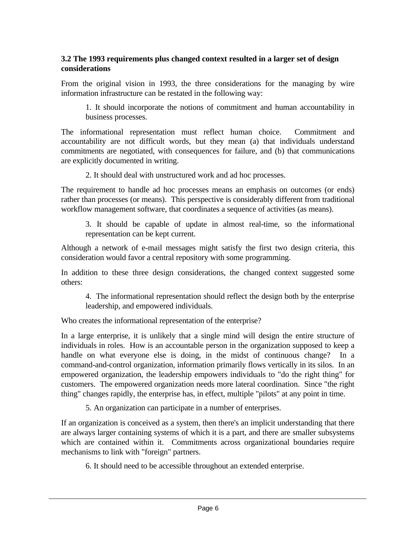## **3.2 The 1993 requirements plus changed context resulted in a larger set of design considerations**

From the original vision in 1993, the three considerations for the managing by wire information infrastructure can be restated in the following way:

1. It should incorporate the notions of commitment and human accountability in business processes.

The informational representation must reflect human choice. Commitment and accountability are not difficult words, but they mean (a) that individuals understand commitments are negotiated, with consequences for failure, and (b) that communications are explicitly documented in writing.

2. It should deal with unstructured work and ad hoc processes.

The requirement to handle ad hoc processes means an emphasis on outcomes (or ends) rather than processes (or means). This perspective is considerably different from traditional workflow management software, that coordinates a sequence of activities (as means).

3. It should be capable of update in almost real-time, so the informational representation can be kept current.

Although a network of e-mail messages might satisfy the first two design criteria, this consideration would favor a central repository with some programming.

In addition to these three design considerations, the changed context suggested some others:

4. The informational representation should reflect the design both by the enterprise leadership, and empowered individuals.

Who creates the informational representation of the enterprise?

In a large enterprise, it is unlikely that a single mind will design the entire structure of individuals in roles. How is an accountable person in the organization supposed to keep a handle on what everyone else is doing, in the midst of continuous change? In a command-and-control organization, information primarily flows vertically in its silos. In an empowered organization, the leadership empowers individuals to "do the right thing" for customers. The empowered organization needs more lateral coordination. Since "the right thing" changes rapidly, the enterprise has, in effect, multiple "pilots" at any point in time.

5. An organization can participate in a number of enterprises.

If an organization is conceived as a system, then there's an implicit understanding that there are always larger containing systems of which it is a part, and there are smaller subsystems which are contained within it. Commitments across organizational boundaries require mechanisms to link with "foreign" partners.

6. It should need to be accessible throughout an extended enterprise.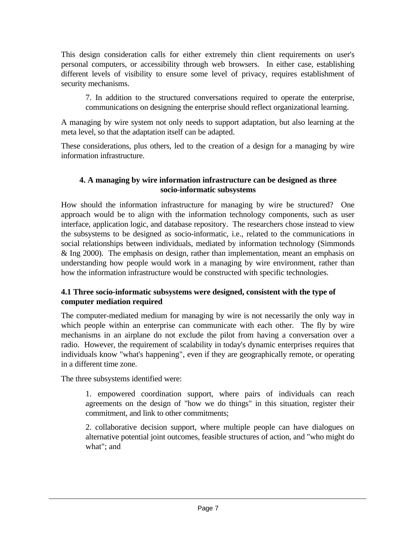This design consideration calls for either extremely thin client requirements on user's personal computers, or accessibility through web browsers. In either case, establishing different levels of visibility to ensure some level of privacy, requires establishment of security mechanisms.

7. In addition to the structured conversations required to operate the enterprise, communications on designing the enterprise should reflect organizational learning.

A managing by wire system not only needs to support adaptation, but also learning at the meta level, so that the adaptation itself can be adapted.

These considerations, plus others, led to the creation of a design for a managing by wire information infrastructure.

## **4. A managing by wire information infrastructure can be designed as three socio-informatic subsystems**

How should the information infrastructure for managing by wire be structured? One approach would be to align with the information technology components, such as user interface, application logic, and database repository. The researchers chose instead to view the subsystems to be designed as socio-informatic, i.e., related to the communications in social relationships between individuals, mediated by information technology (Simmonds & Ing 2000). The emphasis on design, rather than implementation, meant an emphasis on understanding how people would work in a managing by wire environment, rather than how the information infrastructure would be constructed with specific technologies.

## **4.1 Three socio-informatic subsystems were designed, consistent with the type of computer mediation required**

The computer-mediated medium for managing by wire is not necessarily the only way in which people within an enterprise can communicate with each other. The fly by wire mechanisms in an airplane do not exclude the pilot from having a conversation over a radio. However, the requirement of scalability in today's dynamic enterprises requires that individuals know "what's happening", even if they are geographically remote, or operating in a different time zone.

The three subsystems identified were:

1. empowered coordination support, where pairs of individuals can reach agreements on the design of "how we do things" in this situation, register their commitment, and link to other commitments;

2. collaborative decision support, where multiple people can have dialogues on alternative potential joint outcomes, feasible structures of action, and "who might do what"; and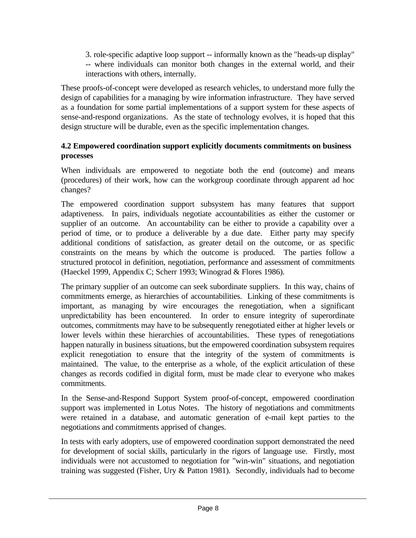3. role-specific adaptive loop support -- informally known as the "heads-up display" -- where individuals can monitor both changes in the external world, and their interactions with others, internally.

These proofs-of-concept were developed as research vehicles, to understand more fully the design of capabilities for a managing by wire information infrastructure. They have served as a foundation for some partial implementations of a support system for these aspects of sense-and-respond organizations. As the state of technology evolves, it is hoped that this design structure will be durable, even as the specific implementation changes.

## **4.2 Empowered coordination support explicitly documents commitments on business processes**

When individuals are empowered to negotiate both the end (outcome) and means (procedures) of their work, how can the workgroup coordinate through apparent ad hoc changes?

The empowered coordination support subsystem has many features that support adaptiveness. In pairs, individuals negotiate accountabilities as either the customer or supplier of an outcome. An accountability can be either to provide a capability over a period of time, or to produce a deliverable by a due date. Either party may specify additional conditions of satisfaction, as greater detail on the outcome, or as specific constraints on the means by which the outcome is produced. The parties follow a structured protocol in definition, negotiation, performance and assessment of commitments (Haeckel 1999, Appendix C; Scherr 1993; Winograd & Flores 1986).

The primary supplier of an outcome can seek subordinate suppliers. In this way, chains of commitments emerge, as hierarchies of accountabilities. Linking of these commitments is important, as managing by wire encourages the renegotiation, when a significant unpredictability has been encountered. In order to ensure integrity of superordinate outcomes, commitments may have to be subsequently renegotiated either at higher levels or lower levels within these hierarchies of accountabilities. These types of renegotiations happen naturally in business situations, but the empowered coordination subsystem requires explicit renegotiation to ensure that the integrity of the system of commitments is maintained. The value, to the enterprise as a whole, of the explicit articulation of these changes as records codified in digital form, must be made clear to everyone who makes commitments.

In the Sense-and-Respond Support System proof-of-concept, empowered coordination support was implemented in Lotus Notes. The history of negotiations and commitments were retained in a database, and automatic generation of e-mail kept parties to the negotiations and commitments apprised of changes.

In tests with early adopters, use of empowered coordination support demonstrated the need for development of social skills, particularly in the rigors of language use. Firstly, most individuals were not accustomed to negotiation for "win-win" situations, and negotiation training was suggested (Fisher, Ury & Patton 1981). Secondly, individuals had to become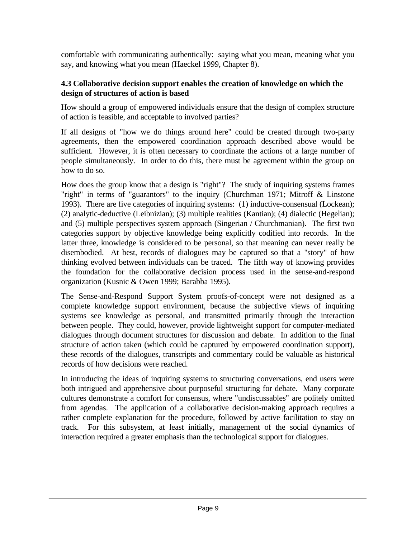comfortable with communicating authentically: saying what you mean, meaning what you say, and knowing what you mean (Haeckel 1999, Chapter 8).

#### **4.3 Collaborative decision support enables the creation of knowledge on which the design of structures of action is based**

How should a group of empowered individuals ensure that the design of complex structure of action is feasible, and acceptable to involved parties?

If all designs of "how we do things around here" could be created through two-party agreements, then the empowered coordination approach described above would be sufficient. However, it is often necessary to coordinate the actions of a large number of people simultaneously. In order to do this, there must be agreement within the group on how to do so.

How does the group know that a design is "right"? The study of inquiring systems frames "right" in terms of "guarantors" to the inquiry (Churchman 1971; Mitroff & Linstone 1993). There are five categories of inquiring systems: (1) inductive-consensual (Lockean); (2) analytic-deductive (Leibnizian); (3) multiple realities (Kantian); (4) dialectic (Hegelian); and (5) multiple perspectives system approach (Singerian / Churchmanian). The first two categories support by objective knowledge being explicitly codified into records. In the latter three, knowledge is considered to be personal, so that meaning can never really be disembodied. At best, records of dialogues may be captured so that a "story" of how thinking evolved between individuals can be traced. The fifth way of knowing provides the foundation for the collaborative decision process used in the sense-and-respond organization (Kusnic & Owen 1999; Barabba 1995).

The Sense-and-Respond Support System proofs-of-concept were not designed as a complete knowledge support environment, because the subjective views of inquiring systems see knowledge as personal, and transmitted primarily through the interaction between people. They could, however, provide lightweight support for computer-mediated dialogues through document structures for discussion and debate. In addition to the final structure of action taken (which could be captured by empowered coordination support), these records of the dialogues, transcripts and commentary could be valuable as historical records of how decisions were reached.

In introducing the ideas of inquiring systems to structuring conversations, end users were both intrigued and apprehensive about purposeful structuring for debate. Many corporate cultures demonstrate a comfort for consensus, where "undiscussables" are politely omitted from agendas. The application of a collaborative decision-making approach requires a rather complete explanation for the procedure, followed by active facilitation to stay on track. For this subsystem, at least initially, management of the social dynamics of interaction required a greater emphasis than the technological support for dialogues.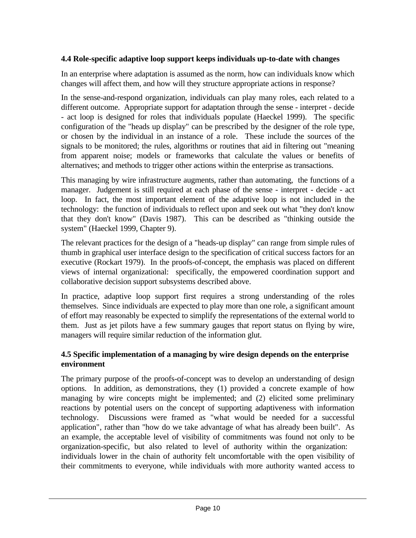## **4.4 Role-specific adaptive loop support keeps individuals up-to-date with changes**

In an enterprise where adaptation is assumed as the norm, how can individuals know which changes will affect them, and how will they structure appropriate actions in response?

In the sense-and-respond organization, individuals can play many roles, each related to a different outcome. Appropriate support for adaptation through the sense - interpret - decide - act loop is designed for roles that individuals populate (Haeckel 1999). The specific configuration of the "heads up display" can be prescribed by the designer of the role type, or chosen by the individual in an instance of a role. These include the sources of the signals to be monitored; the rules, algorithms or routines that aid in filtering out "meaning from apparent noise; models or frameworks that calculate the values or benefits of alternatives; and methods to trigger other actions within the enterprise as transactions.

This managing by wire infrastructure augments, rather than automating, the functions of a manager. Judgement is still required at each phase of the sense - interpret - decide - act loop. In fact, the most important element of the adaptive loop is not included in the technology: the function of individuals to reflect upon and seek out what "they don't know that they don't know" (Davis 1987). This can be described as "thinking outside the system" (Haeckel 1999, Chapter 9).

The relevant practices for the design of a "heads-up display" can range from simple rules of thumb in graphical user interface design to the specification of critical success factors for an executive (Rockart 1979). In the proofs-of-concept, the emphasis was placed on different views of internal organizational: specifically, the empowered coordination support and collaborative decision support subsystems described above.

In practice, adaptive loop support first requires a strong understanding of the roles themselves. Since individuals are expected to play more than one role, a significant amount of effort may reasonably be expected to simplify the representations of the external world to them. Just as jet pilots have a few summary gauges that report status on flying by wire, managers will require similar reduction of the information glut.

## **4.5 Specific implementation of a managing by wire design depends on the enterprise environment**

The primary purpose of the proofs-of-concept was to develop an understanding of design options. In addition, as demonstrations, they (1) provided a concrete example of how managing by wire concepts might be implemented; and (2) elicited some preliminary reactions by potential users on the concept of supporting adaptiveness with information technology. Discussions were framed as "what would be needed for a successful application", rather than "how do we take advantage of what has already been built". As an example, the acceptable level of visibility of commitments was found not only to be organization-specific, but also related to level of authority within the organization: individuals lower in the chain of authority felt uncomfortable with the open visibility of their commitments to everyone, while individuals with more authority wanted access to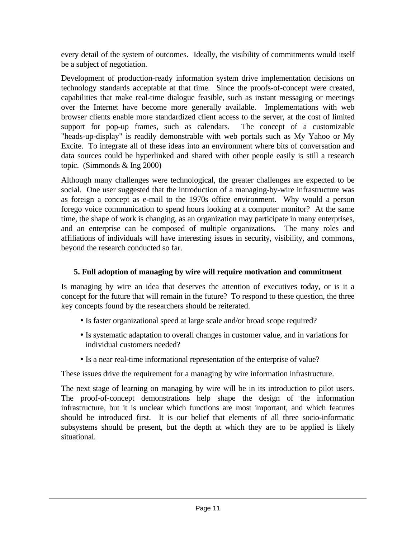every detail of the system of outcomes. Ideally, the visibility of commitments would itself be a subject of negotiation.

Development of production-ready information system drive implementation decisions on technology standards acceptable at that time. Since the proofs-of-concept were created, capabilities that make real-time dialogue feasible, such as instant messaging or meetings over the Internet have become more generally available. Implementations with web browser clients enable more standardized client access to the server, at the cost of limited support for pop-up frames, such as calendars. The concept of a customizable "heads-up-display" is readily demonstrable with web portals such as My Yahoo or My Excite. To integrate all of these ideas into an environment where bits of conversation and data sources could be hyperlinked and shared with other people easily is still a research topic. (Simmonds & Ing 2000)

Although many challenges were technological, the greater challenges are expected to be social. One user suggested that the introduction of a managing-by-wire infrastructure was as foreign a concept as e-mail to the 1970s office environment. Why would a person forego voice communication to spend hours looking at a computer monitor? At the same time, the shape of work is changing, as an organization may participate in many enterprises, and an enterprise can be composed of multiple organizations. The many roles and affiliations of individuals will have interesting issues in security, visibility, and commons, beyond the research conducted so far.

# **5. Full adoption of managing by wire will require motivation and commitment**

Is managing by wire an idea that deserves the attention of executives today, or is it a concept for the future that will remain in the future? To respond to these question, the three key concepts found by the researchers should be reiterated.

- Is faster organizational speed at large scale and/or broad scope required?
- ü Is systematic adaptation to overall changes in customer value, and in variations for individual customers needed?
- Is a near real-time informational representation of the enterprise of value?

These issues drive the requirement for a managing by wire information infrastructure.

The next stage of learning on managing by wire will be in its introduction to pilot users. The proof-of-concept demonstrations help shape the design of the information infrastructure, but it is unclear which functions are most important, and which features should be introduced first. It is our belief that elements of all three socio-informatic subsystems should be present, but the depth at which they are to be applied is likely situational.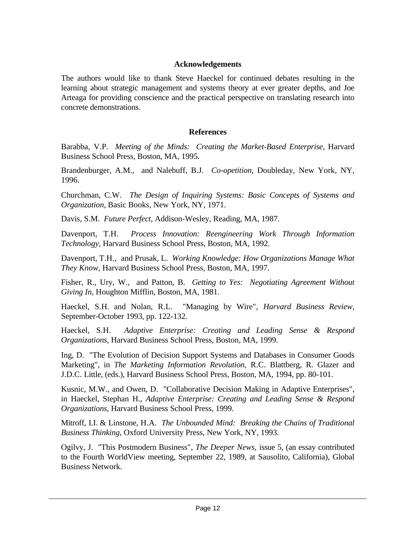#### **Acknowledgements**

The authors would like to thank Steve Haeckel for continued debates resulting in the learning about strategic management and systems theory at ever greater depths, and Joe Arteaga for providing conscience and the practical perspective on translating research into concrete demonstrations.

#### **References**

Barabba, V.P. *Meeting of the Minds: Creating the Market-Based Enterprise*, Harvard Business School Press, Boston, MA, 1995.

Brandenburger, A.M., and Nalebuff, B.J. *Co-opetition*, Doubleday, New York, NY, 1996.

Churchman, C.W. *The Design of Inquiring Systems: Basic Concepts of Systems and Organization*, Basic Books, New York, NY, 1971.

Davis, S.M. *Future Perfect,* Addison-Wesley, Reading, MA, 1987.

Davenport, T.H. *Process Innovation: Reengineering Work Through Information Technology,* Harvard Business School Press, Boston, MA, 1992.

Davenport, T.H., and Prusak, L. *Working Knowledge: How Organizations Manage What They Know,* Harvard Business School Press, Boston, MA, 1997.

Fisher, R., Ury, W., and Patton, B. *Getting to Yes: Negotiating Agreement Without Giving In,* Houghton Mifflin, Boston, MA, 1981.

Haeckel, S.H. and Nolan, R.L. "Managing by Wire", *Harvard Business Review*, September-October 1993, pp. 122-132.

Haeckel, S.H. *Adaptive Enterprise: Creating and Leading Sense & Respond Organizations,* Harvard Business School Press, Boston, MA, 1999.

Ing, D. "The Evolution of Decision Support Systems and Databases in Consumer Goods Marketing", in *The Marketing Information Revolution,* R.C. Blattberg, R. Glazer and J.D.C. Little, (eds.), Harvard Business School Press, Boston, MA, 1994, pp. 80-101.

Kusnic, M.W., and Owen, D. "Collaborative Decision Making in Adaptive Enterprises", in Haeckel, Stephan H., *Adaptive Enterprise: Creating and Leading Sense & Respond Organizations,* Harvard Business School Press, 1999.

Mitroff, I.I. & Linstone, H.A. *The Unbounded Mind: Breaking the Chains of Traditional Business Thinking*, Oxford University Press, New York, NY, 1993.

Ogilvy, J. "This Postmodern Business", *The Deeper News*, issue 5, (an essay contributed to the Fourth WorldView meeting, September 22, 1989, at Sausolito, California), Global Business Network.